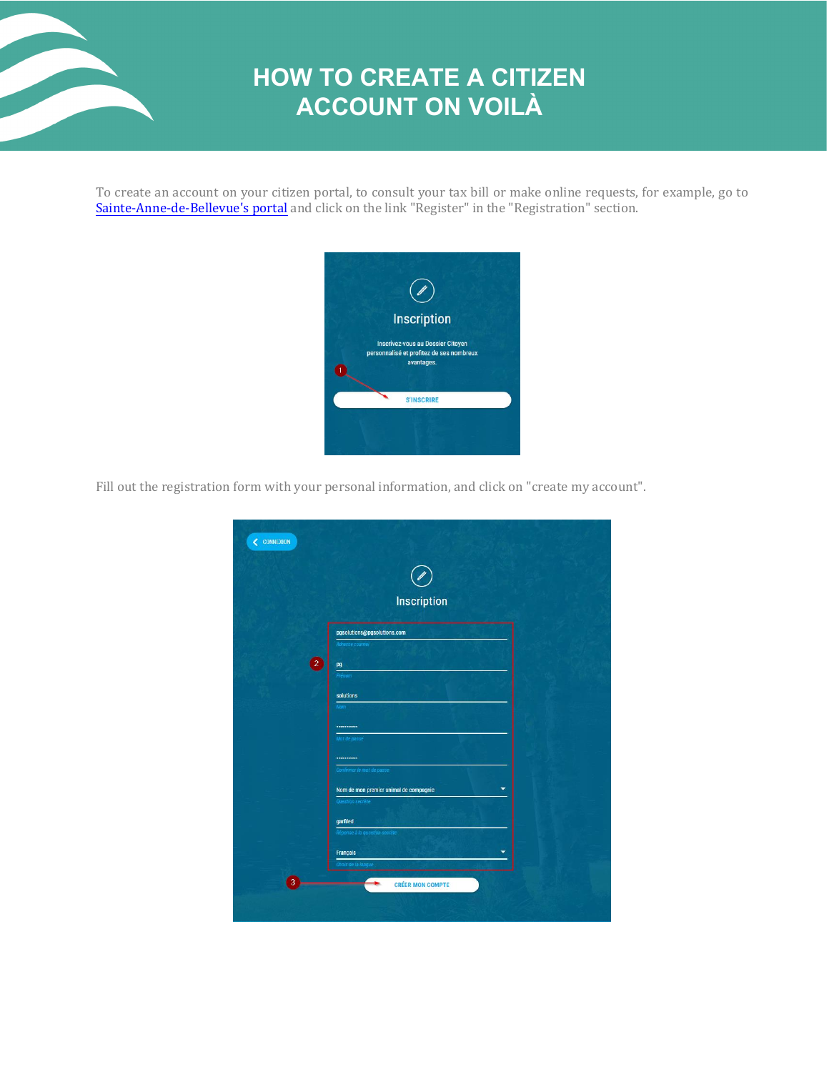

## **HOW TO CREATE A CITIZEN ACCOUNT ON VOILÀ**

To create an account on your citizen portal, to consult your tax bill or make online requests, for example, go to Sainte-Anne-de-Bellevue['s portal and click on the link "Register" in the "Registration" sectio](https://sainte-anne-de-bellevue.appvoila.com/)n.



Fill out the registration form with your personal information, and click on "create my account".

|   | Inscription                                 |  |
|---|---------------------------------------------|--|
|   | pgsolutions@pgsolutions.com                 |  |
|   | Adresse courriel                            |  |
| 2 | pg                                          |  |
|   | Prénom                                      |  |
|   | solutions                                   |  |
|   | Nom                                         |  |
|   |                                             |  |
|   | Mot de passe                                |  |
|   |                                             |  |
|   | Confirmer le mot de passe                   |  |
|   | Nom de mon premier animal de compagnie<br>۰ |  |
|   | Question secrète                            |  |
|   | garfiled                                    |  |
|   | Réponse à la question secrète               |  |
|   | Français<br>▼                               |  |
|   | Choix de la langue                          |  |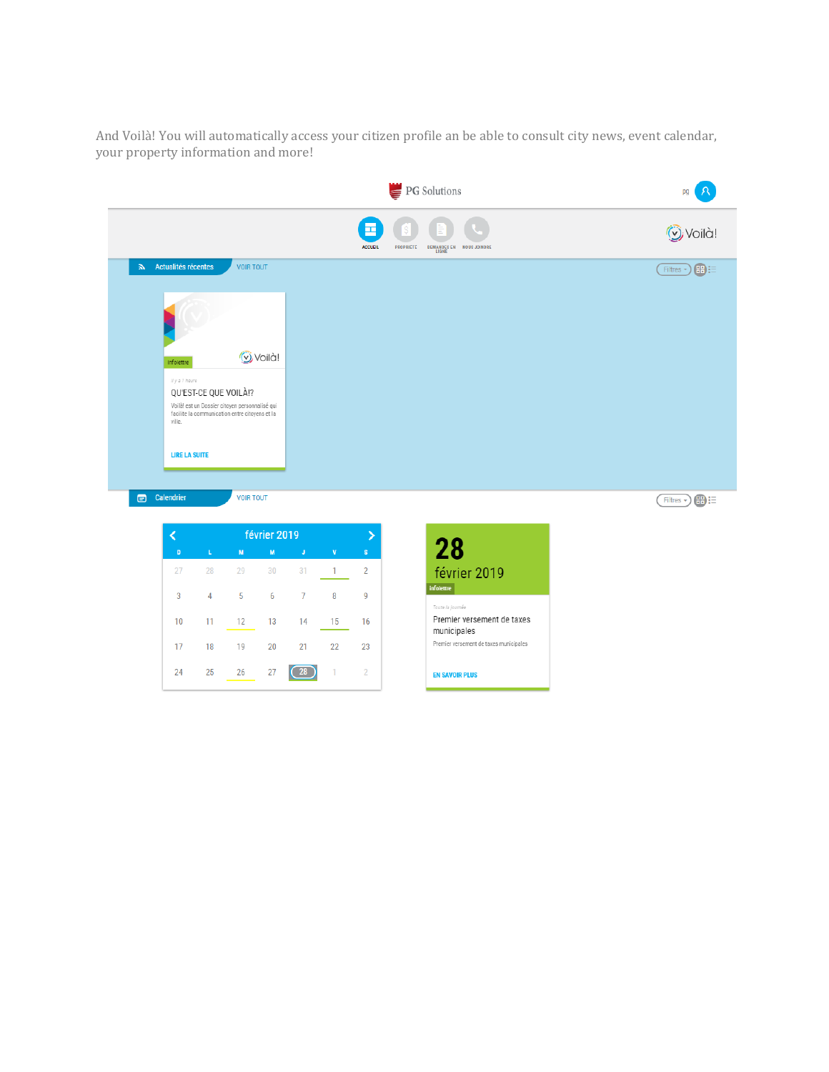And Voilà! You will automatically access your citizen profile an be able to consult city news, event calendar, your property information and more!